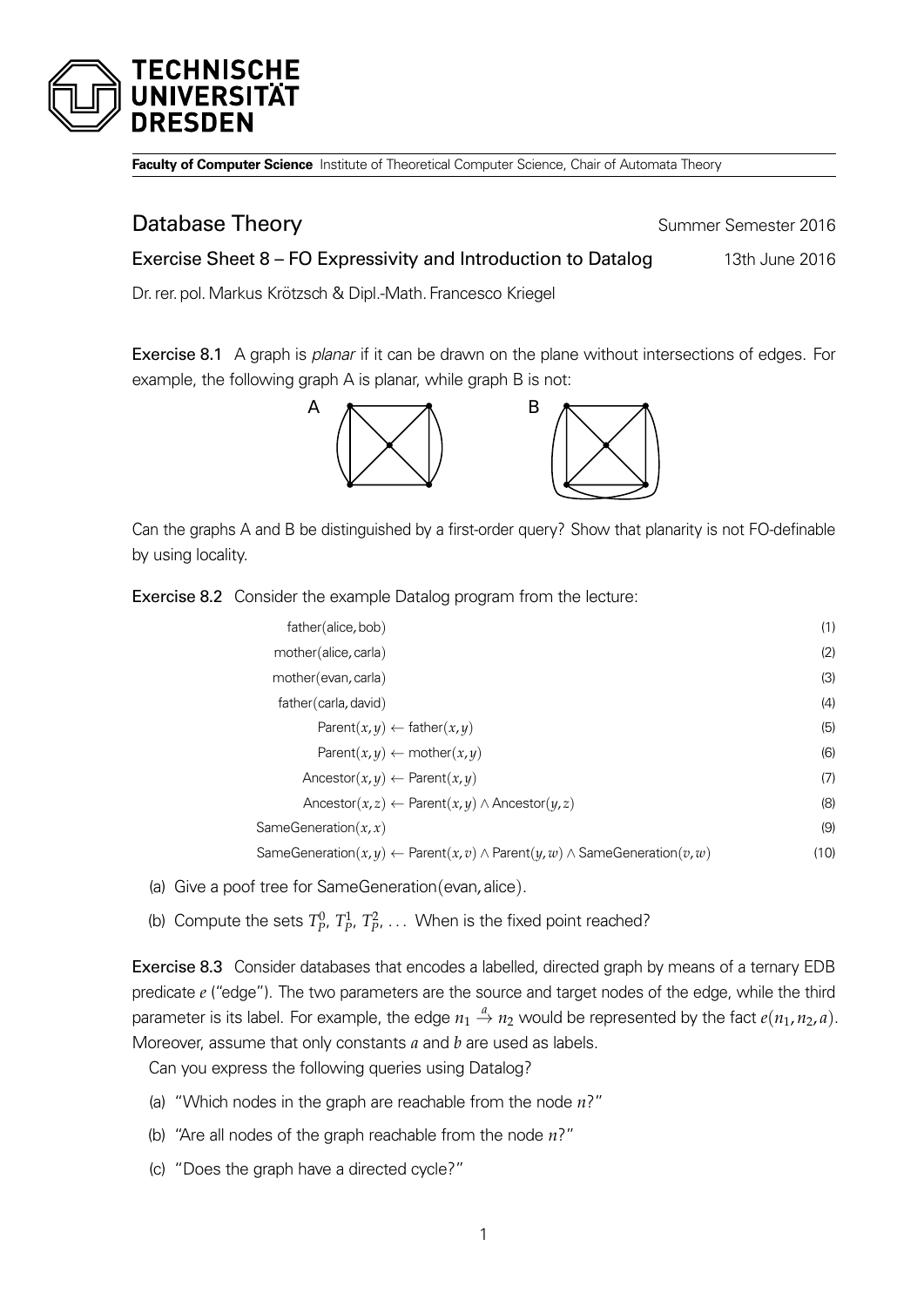

**Faculty of Computer Science** Institute of Theoretical Computer Science, Chair of Automata Theory

## **Database Theory Summer Semester 2016**

Exercise Sheet 8 – FO Expressivity and Introduction to Datalog 13th June 2016

Dr. rer. pol.Markus Krötzsch & Dipl.-Math. Francesco Kriegel

Exercise 8.1 A graph is *planar* if it can be drawn on the plane without intersections of edges. For example, the following graph A is planar, while graph B is not:



Can the graphs A and B be distinguished by a first-order query? Show that planarity is not FO-definable by using locality.

Exercise 8.2 Consider the example Datalog program from the lecture:

| father(alice, bob)                                                                                       | (1)  |
|----------------------------------------------------------------------------------------------------------|------|
| mother(alice, carla)                                                                                     | (2)  |
| mother (evan, carla)                                                                                     | (3)  |
| father(carla, david)                                                                                     | (4)  |
| Parent $(x, y) \leftarrow$ father $(x, y)$                                                               | (5)  |
| Parent $(x, y) \leftarrow$ mother $(x, y)$                                                               | (6)  |
| Ancestor $(x, y) \leftarrow$ Parent $(x, y)$                                                             | (7)  |
| Ancestor(x,z) $\leftarrow$ Parent(x,y) $\wedge$ Ancestor(y,z)                                            | (8)  |
| SameGeneration $(x, x)$                                                                                  | (9)  |
| SameGeneration $(x, y) \leftarrow$ Parent $(x, v) \wedge$ Parent $(y, w) \wedge$ SameGeneration $(v, w)$ | (10) |

- (a) Give a poof tree for SameGeneration(evan, alice).
- (b) Compute the sets  $T_p^0$ ,  $T_p^1$ ,  $T_p^2$ , ... When is the fixed point reached?

Exercise 8.3 Consider databases that encodes a labelled, directed graph by means of a ternary EDB predicate *e* ("edge"). The two parameters are the source and target nodes of the edge, while the third parameter is its label. For example, the edge  $n_1 \stackrel{a}{\to} n_2$  would be represented by the fact  $e(n_1, n_2, a)$ . Moreover, assume that only constants *a* and *b* are used as labels.

Can you express the following queries using Datalog?

- (a) "Which nodes in the graph are reachable from the node *n*?"
- (b) "Are all nodes of the graph reachable from the node *n*?"
- (c) "Does the graph have a directed cycle?"